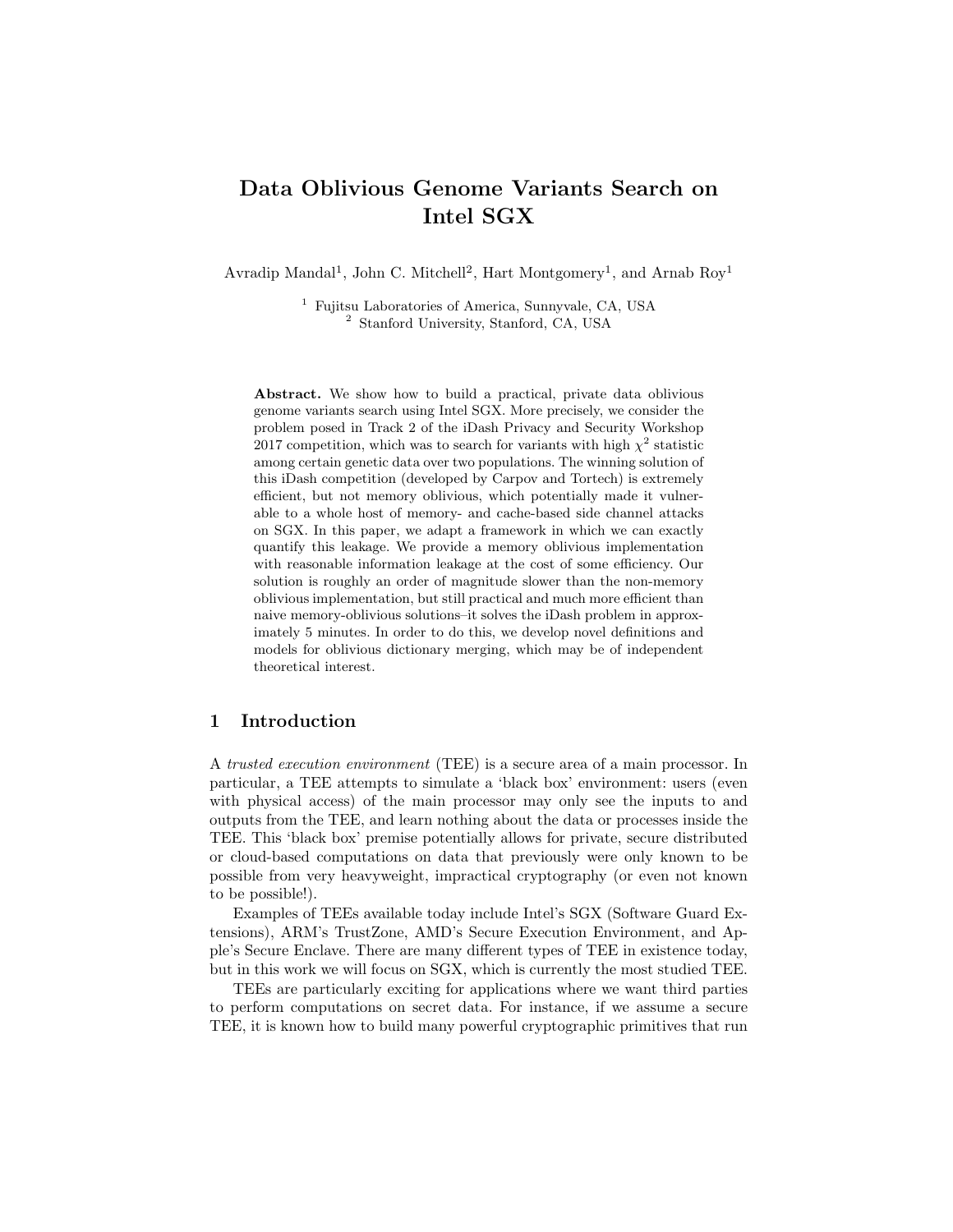# Data Oblivious Genome Variants Search on Intel SGX

Avradip Mandal<sup>1</sup>, John C. Mitchell<sup>2</sup>, Hart Montgomery<sup>1</sup>, and Arnab Roy<sup>1</sup>

<sup>1</sup> Fujitsu Laboratories of America, Sunnyvale, CA, USA <sup>2</sup> Stanford University, Stanford, CA, USA

Abstract. We show how to build a practical, private data oblivious genome variants search using Intel SGX. More precisely, we consider the problem posed in Track 2 of the iDash Privacy and Security Workshop 2017 competition, which was to search for variants with high  $\chi^2$  statistic among certain genetic data over two populations. The winning solution of this iDash competition (developed by Carpov and Tortech) is extremely efficient, but not memory oblivious, which potentially made it vulnerable to a whole host of memory- and cache-based side channel attacks on SGX. In this paper, we adapt a framework in which we can exactly quantify this leakage. We provide a memory oblivious implementation with reasonable information leakage at the cost of some efficiency. Our solution is roughly an order of magnitude slower than the non-memory oblivious implementation, but still practical and much more efficient than naive memory-oblivious solutions–it solves the iDash problem in approximately 5 minutes. In order to do this, we develop novel definitions and models for oblivious dictionary merging, which may be of independent theoretical interest.

### 1 Introduction

A trusted execution environment (TEE) is a secure area of a main processor. In particular, a TEE attempts to simulate a 'black box' environment: users (even with physical access) of the main processor may only see the inputs to and outputs from the TEE, and learn nothing about the data or processes inside the TEE. This 'black box' premise potentially allows for private, secure distributed or cloud-based computations on data that previously were only known to be possible from very heavyweight, impractical cryptography (or even not known to be possible!).

Examples of TEEs available today include Intel's SGX (Software Guard Extensions), ARM's TrustZone, AMD's Secure Execution Environment, and Apple's Secure Enclave. There are many different types of TEE in existence today, but in this work we will focus on SGX, which is currently the most studied TEE.

TEEs are particularly exciting for applications where we want third parties to perform computations on secret data. For instance, if we assume a secure TEE, it is known how to build many powerful cryptographic primitives that run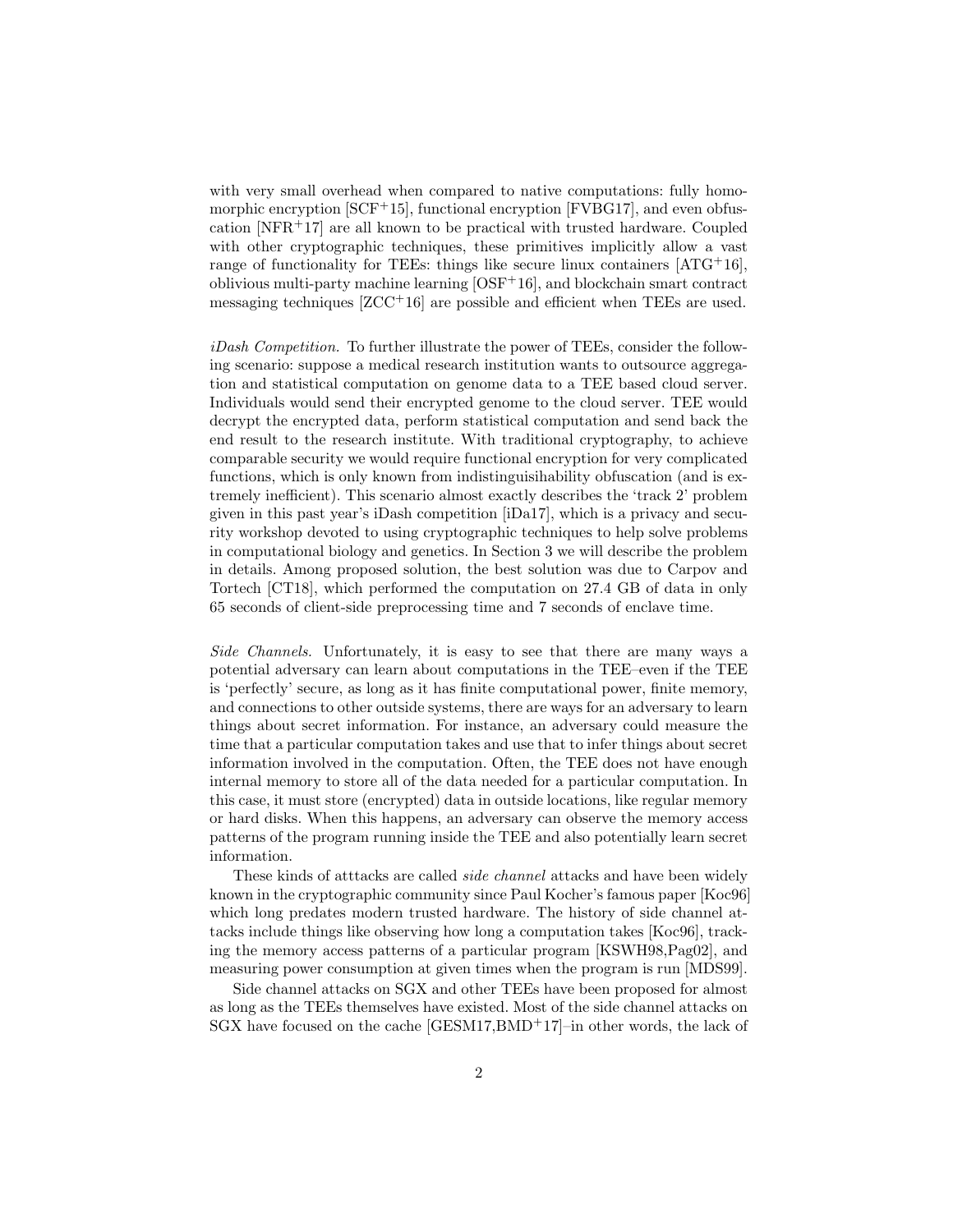with very small overhead when compared to native computations: fully homomorphic encryption  $[SCF+15]$ , functional encryption  $[FVBG17]$ , and even obfuscation  $[NFR+17]$  are all known to be practical with trusted hardware. Coupled with other cryptographic techniques, these primitives implicitly allow a vast range of functionality for TEEs: things like secure linux containers  $[ATG<sup>+</sup>16]$ , oblivious multi-party machine learning  $[OSF+16]$ , and blockchain smart contract messaging techniques [ZCC+16] are possible and efficient when TEEs are used.

iDash Competition. To further illustrate the power of TEEs, consider the following scenario: suppose a medical research institution wants to outsource aggregation and statistical computation on genome data to a TEE based cloud server. Individuals would send their encrypted genome to the cloud server. TEE would decrypt the encrypted data, perform statistical computation and send back the end result to the research institute. With traditional cryptography, to achieve comparable security we would require functional encryption for very complicated functions, which is only known from indistinguisihability obfuscation (and is extremely inefficient). This scenario almost exactly describes the 'track 2' problem given in this past year's iDash competition [iDa17], which is a privacy and security workshop devoted to using cryptographic techniques to help solve problems in computational biology and genetics. In Section 3 we will describe the problem in details. Among proposed solution, the best solution was due to Carpov and Tortech [CT18], which performed the computation on 27.4 GB of data in only 65 seconds of client-side preprocessing time and 7 seconds of enclave time.

Side Channels. Unfortunately, it is easy to see that there are many ways a potential adversary can learn about computations in the TEE–even if the TEE is 'perfectly' secure, as long as it has finite computational power, finite memory, and connections to other outside systems, there are ways for an adversary to learn things about secret information. For instance, an adversary could measure the time that a particular computation takes and use that to infer things about secret information involved in the computation. Often, the TEE does not have enough internal memory to store all of the data needed for a particular computation. In this case, it must store (encrypted) data in outside locations, like regular memory or hard disks. When this happens, an adversary can observe the memory access patterns of the program running inside the TEE and also potentially learn secret information.

These kinds of attacks are called *side channel* attacks and have been widely known in the cryptographic community since Paul Kocher's famous paper [Koc96] which long predates modern trusted hardware. The history of side channel attacks include things like observing how long a computation takes [Koc96], tracking the memory access patterns of a particular program [KSWH98,Pag02], and measuring power consumption at given times when the program is run [MDS99].

Side channel attacks on SGX and other TEEs have been proposed for almost as long as the TEEs themselves have existed. Most of the side channel attacks on  $SGX$  have focused on the cache  $[GESM17, BMD+17]$ –in other words, the lack of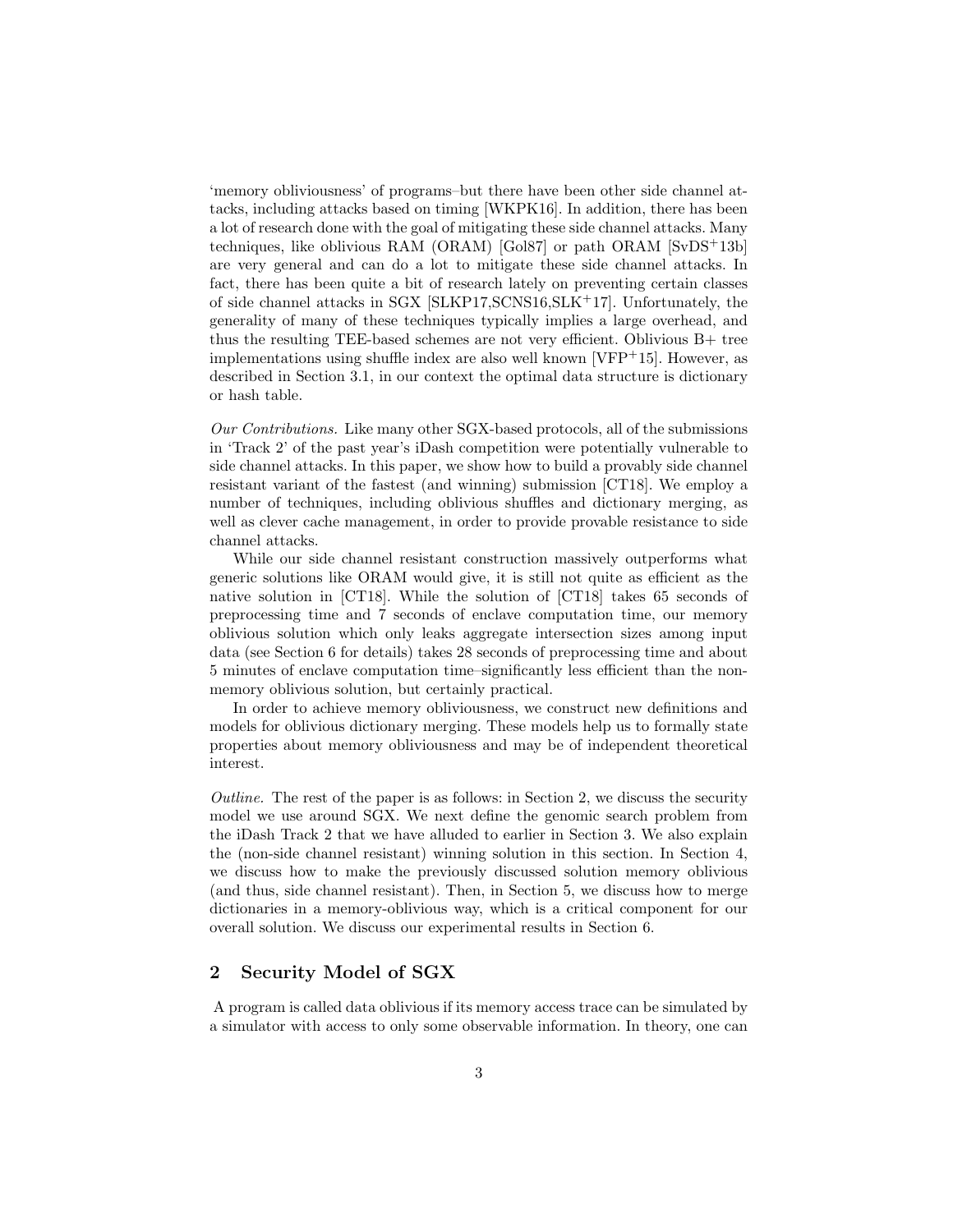'memory obliviousness' of programs–but there have been other side channel attacks, including attacks based on timing [WKPK16]. In addition, there has been a lot of research done with the goal of mitigating these side channel attacks. Many techniques, like oblivious RAM (ORAM) [Gol87] or path ORAM [SvDS+13b] are very general and can do a lot to mitigate these side channel attacks. In fact, there has been quite a bit of research lately on preventing certain classes of side channel attacks in SGX [SLKP17,SCNS16,SLK+17]. Unfortunately, the generality of many of these techniques typically implies a large overhead, and thus the resulting TEE-based schemes are not very efficient. Oblivious B+ tree implementations using shuffle index are also well known [VFP+15]. However, as described in Section 3.1, in our context the optimal data structure is dictionary or hash table.

Our Contributions. Like many other SGX-based protocols, all of the submissions in 'Track 2' of the past year's iDash competition were potentially vulnerable to side channel attacks. In this paper, we show how to build a provably side channel resistant variant of the fastest (and winning) submission [CT18]. We employ a number of techniques, including oblivious shuffles and dictionary merging, as well as clever cache management, in order to provide provable resistance to side channel attacks.

While our side channel resistant construction massively outperforms what generic solutions like ORAM would give, it is still not quite as efficient as the native solution in [CT18]. While the solution of [CT18] takes 65 seconds of preprocessing time and 7 seconds of enclave computation time, our memory oblivious solution which only leaks aggregate intersection sizes among input data (see Section 6 for details) takes 28 seconds of preprocessing time and about 5 minutes of enclave computation time–significantly less efficient than the nonmemory oblivious solution, but certainly practical.

In order to achieve memory obliviousness, we construct new definitions and models for oblivious dictionary merging. These models help us to formally state properties about memory obliviousness and may be of independent theoretical interest.

Outline. The rest of the paper is as follows: in Section 2, we discuss the security model we use around SGX. We next define the genomic search problem from the iDash Track 2 that we have alluded to earlier in Section 3. We also explain the (non-side channel resistant) winning solution in this section. In Section 4, we discuss how to make the previously discussed solution memory oblivious (and thus, side channel resistant). Then, in Section 5, we discuss how to merge dictionaries in a memory-oblivious way, which is a critical component for our overall solution. We discuss our experimental results in Section 6.

# 2 Security Model of SGX

A program is called data oblivious if its memory access trace can be simulated by a simulator with access to only some observable information. In theory, one can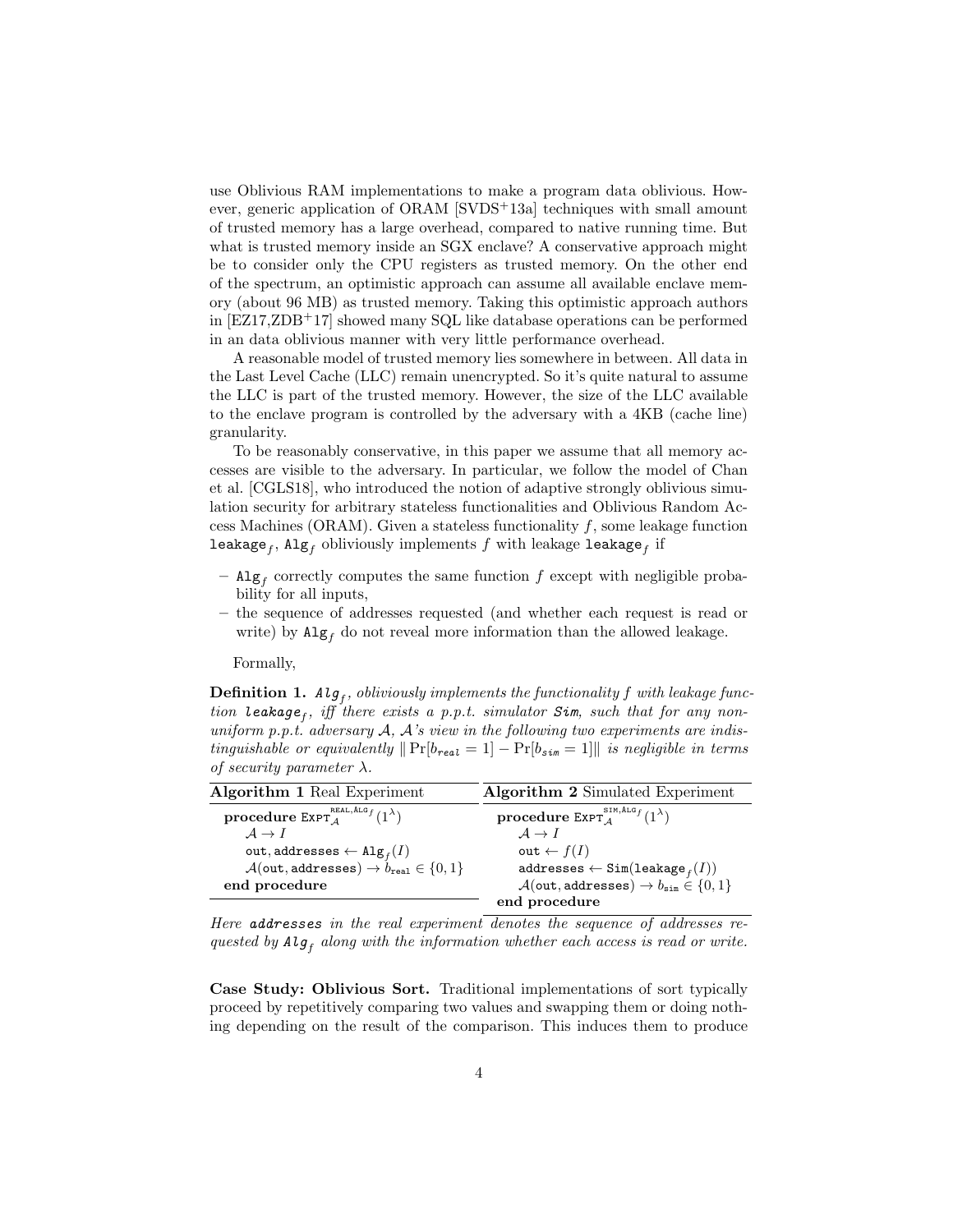use Oblivious RAM implementations to make a program data oblivious. However, generic application of ORAM [SVDS+13a] techniques with small amount of trusted memory has a large overhead, compared to native running time. But what is trusted memory inside an SGX enclave? A conservative approach might be to consider only the CPU registers as trusted memory. On the other end of the spectrum, an optimistic approach can assume all available enclave memory (about 96 MB) as trusted memory. Taking this optimistic approach authors in [EZ17,ZDB+17] showed many SQL like database operations can be performed in an data oblivious manner with very little performance overhead.

A reasonable model of trusted memory lies somewhere in between. All data in the Last Level Cache (LLC) remain unencrypted. So it's quite natural to assume the LLC is part of the trusted memory. However, the size of the LLC available to the enclave program is controlled by the adversary with a 4KB (cache line) granularity.

To be reasonably conservative, in this paper we assume that all memory accesses are visible to the adversary. In particular, we follow the model of Chan et al. [CGLS18], who introduced the notion of adaptive strongly oblivious simulation security for arbitrary stateless functionalities and Oblivious Random Access Machines (ORAM). Given a stateless functionality  $f$ , some leakage function  ${\tt leakage}_f, {\tt Alg}_f$  obliviously implements  $f$  with leakage  ${\tt leakage}_f$  if

- $-$  Alg<sub>f</sub> correctly computes the same function f except with negligible probability for all inputs,
- the sequence of addresses requested (and whether each request is read or write) by  $\mathrm{Alg}_f$  do not reveal more information than the allowed leakage.

Formally,

**Definition 1.**  $Alg_f$ , obliviously implements the functionality f with leakage function leakage<sub>f</sub>, iff there exists a p.p.t. simulator  $Sim$ , such that for any nonuniform p.p.t. adversary  $A$ ,  $A$ 's view in the following two experiments are indistinguishable or equivalently  $\|\Pr[b_{real} = 1] - \Pr[b_{sim} = 1]\|$  is negligible in terms of security parameter  $\lambda$ .

| <b>Algorithm 1 Real Experiment</b>                                                    | <b>Algorithm 2</b> Simulated Experiment                                                   |  |  |
|---------------------------------------------------------------------------------------|-------------------------------------------------------------------------------------------|--|--|
| $\bold{procedure}\ \mathsf{ExPT}_A^{\text{\tiny REAL},\text{\tiny ALG}_f}(1^\lambda)$ | $\textbf{procedure }\texttt{ExPT}^{\texttt{SIM},\texttt{Algf}}_{\texttt{A}}(1^{\lambda})$ |  |  |
| $A \rightarrow I$                                                                     | $A \rightarrow I$                                                                         |  |  |
| out, addresses $\leftarrow \mathtt{Alg}_f(I)$                                         | out $\leftarrow$ $f(I)$                                                                   |  |  |
| $\mathcal{A}(\text{out},\text{addresses}) \to b_{\text{real}} \in \{0,1\}$            | $\mathtt{addresses}\leftarrow\mathtt{Sim}(\mathtt{leakage}_f(I))$                         |  |  |
| end procedure                                                                         | $\mathcal{A}(\text{out}, \text{addresses}) \to b_{\text{sim}} \in \{0, 1\}$               |  |  |
|                                                                                       | end procedure                                                                             |  |  |

Here addresses in the real experiment denotes the sequence of addresses requested by  $Alg_f$  along with the information whether each access is read or write.

Case Study: Oblivious Sort. Traditional implementations of sort typically proceed by repetitively comparing two values and swapping them or doing nothing depending on the result of the comparison. This induces them to produce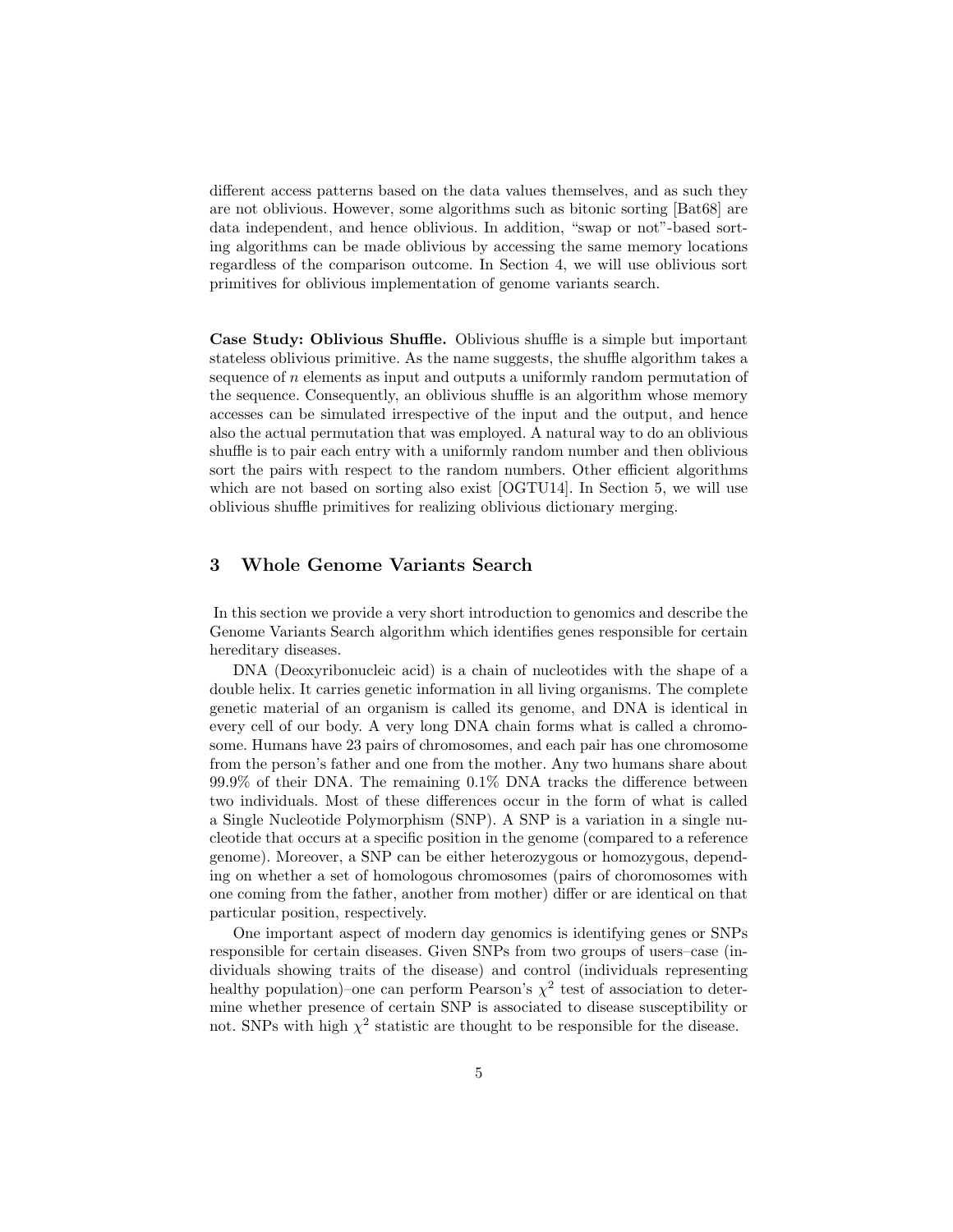different access patterns based on the data values themselves, and as such they are not oblivious. However, some algorithms such as bitonic sorting [Bat68] are data independent, and hence oblivious. In addition, "swap or not"-based sorting algorithms can be made oblivious by accessing the same memory locations regardless of the comparison outcome. In Section 4, we will use oblivious sort primitives for oblivious implementation of genome variants search.

Case Study: Oblivious Shuffle. Oblivious shuffle is a simple but important stateless oblivious primitive. As the name suggests, the shuffle algorithm takes a sequence of n elements as input and outputs a uniformly random permutation of the sequence. Consequently, an oblivious shuffle is an algorithm whose memory accesses can be simulated irrespective of the input and the output, and hence also the actual permutation that was employed. A natural way to do an oblivious shuffle is to pair each entry with a uniformly random number and then oblivious sort the pairs with respect to the random numbers. Other efficient algorithms which are not based on sorting also exist [OGTU14]. In Section 5, we will use oblivious shuffle primitives for realizing oblivious dictionary merging.

### 3 Whole Genome Variants Search

In this section we provide a very short introduction to genomics and describe the Genome Variants Search algorithm which identifies genes responsible for certain hereditary diseases.

DNA (Deoxyribonucleic acid) is a chain of nucleotides with the shape of a double helix. It carries genetic information in all living organisms. The complete genetic material of an organism is called its genome, and DNA is identical in every cell of our body. A very long DNA chain forms what is called a chromosome. Humans have 23 pairs of chromosomes, and each pair has one chromosome from the person's father and one from the mother. Any two humans share about 99.9% of their DNA. The remaining 0.1% DNA tracks the difference between two individuals. Most of these differences occur in the form of what is called a Single Nucleotide Polymorphism (SNP). A SNP is a variation in a single nucleotide that occurs at a specific position in the genome (compared to a reference genome). Moreover, a SNP can be either heterozygous or homozygous, depending on whether a set of homologous chromosomes (pairs of choromosomes with one coming from the father, another from mother) differ or are identical on that particular position, respectively.

One important aspect of modern day genomics is identifying genes or SNPs responsible for certain diseases. Given SNPs from two groups of users–case (individuals showing traits of the disease) and control (individuals representing healthy population)–one can perform Pearson's  $\chi^2$  test of association to determine whether presence of certain SNP is associated to disease susceptibility or not. SNPs with high  $\chi^2$  statistic are thought to be responsible for the disease.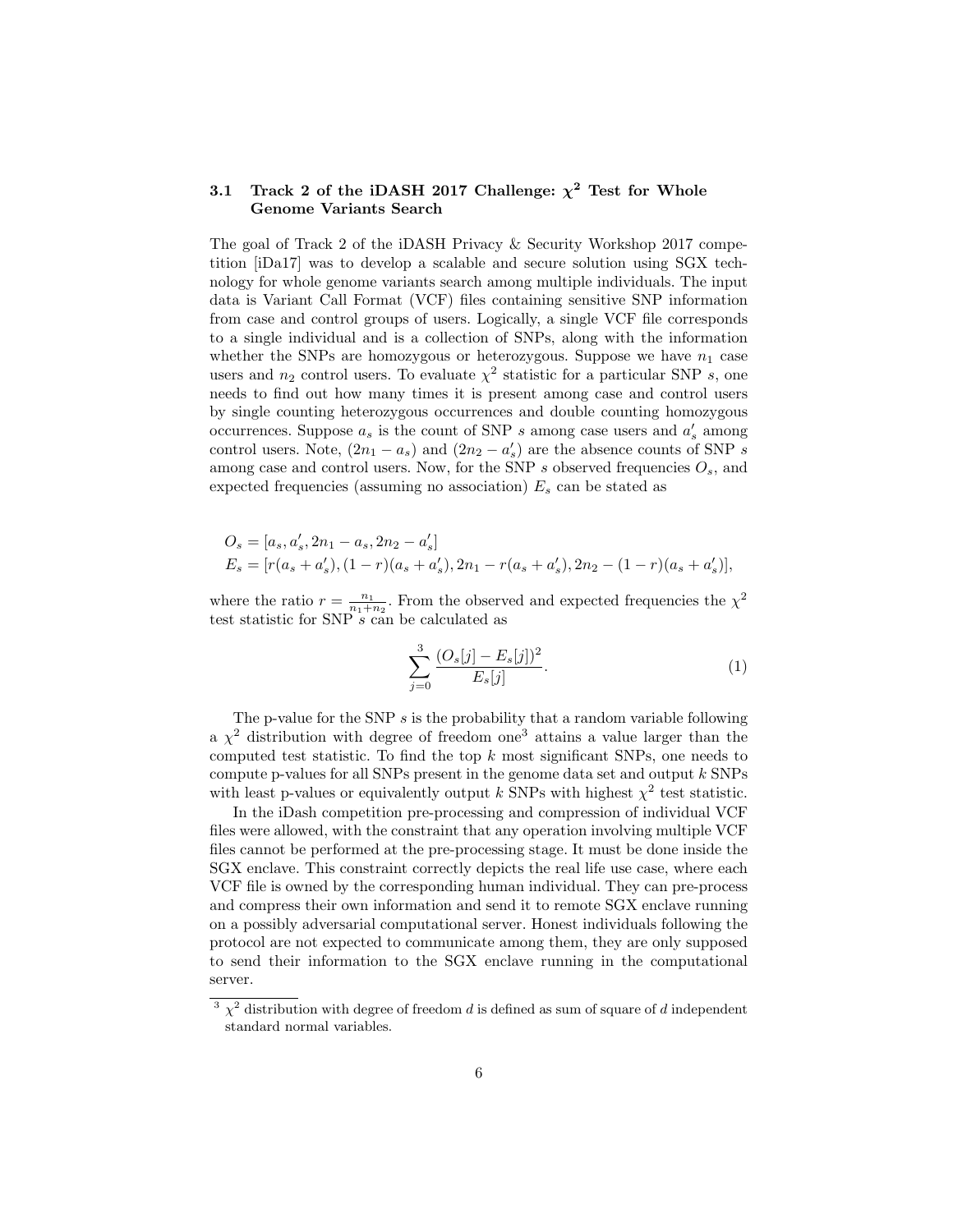# 3.1 Track 2 of the iDASH 2017 Challenge:  $\chi^2$  Test for Whole Genome Variants Search

The goal of Track 2 of the iDASH Privacy & Security Workshop 2017 competition [iDa17] was to develop a scalable and secure solution using SGX technology for whole genome variants search among multiple individuals. The input data is Variant Call Format (VCF) files containing sensitive SNP information from case and control groups of users. Logically, a single VCF file corresponds to a single individual and is a collection of SNPs, along with the information whether the SNPs are homozygous or heterozygous. Suppose we have  $n_1$  case users and  $n_2$  control users. To evaluate  $\chi^2$  statistic for a particular SNP s, one needs to find out how many times it is present among case and control users by single counting heterozygous occurrences and double counting homozygous occurrences. Suppose  $a_s$  is the count of SNP s among case users and  $a'_s$  among control users. Note,  $(2n_1 - a_s)$  and  $(2n_2 - a'_s)$  are the absence counts of SNP s among case and control users. Now, for the SNP s observed frequencies  $O_s$ , and expected frequencies (assuming no association)  $E_s$  can be stated as

$$
O_s = [a_s, a'_s, 2n_1 - a_s, 2n_2 - a'_s]
$$
  
\n
$$
E_s = [r(a_s + a'_s), (1 - r)(a_s + a'_s), 2n_1 - r(a_s + a'_s), 2n_2 - (1 - r)(a_s + a'_s)],
$$

where the ratio  $r = \frac{n_1}{n_1+n_2}$ . From the observed and expected frequencies the  $\chi^2$ test statistic for SNP s can be calculated as

$$
\sum_{j=0}^{3} \frac{(O_s[j] - E_s[j])^2}{E_s[j]}.
$$
\n(1)

The p-value for the SNP  $s$  is the probability that a random variable following a  $\chi^2$  distribution with degree of freedom one<sup>3</sup> attains a value larger than the computed test statistic. To find the top  $k$  most significant SNPs, one needs to compute p-values for all SNPs present in the genome data set and output  $k$  SNPs with least p-values or equivalently output k SNPs with highest  $\chi^2$  test statistic.

In the iDash competition pre-processing and compression of individual VCF files were allowed, with the constraint that any operation involving multiple VCF files cannot be performed at the pre-processing stage. It must be done inside the SGX enclave. This constraint correctly depicts the real life use case, where each VCF file is owned by the corresponding human individual. They can pre-process and compress their own information and send it to remote SGX enclave running on a possibly adversarial computational server. Honest individuals following the protocol are not expected to communicate among them, they are only supposed to send their information to the SGX enclave running in the computational server.

<sup>&</sup>lt;sup>3</sup>  $\chi^2$  distribution with degree of freedom d is defined as sum of square of d independent standard normal variables.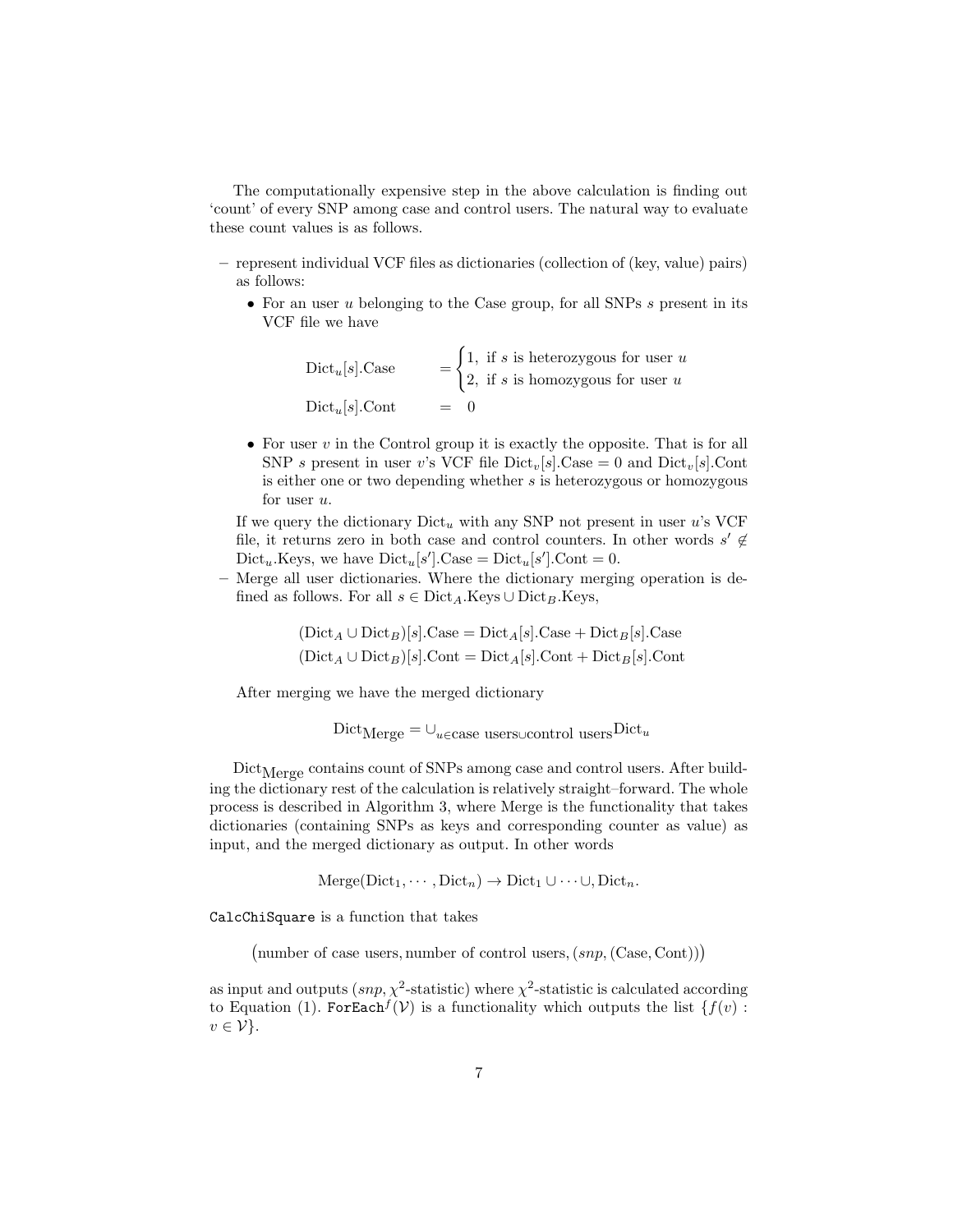The computationally expensive step in the above calculation is finding out 'count' of every SNP among case and control users. The natural way to evaluate these count values is as follows.

- represent individual VCF files as dictionaries (collection of (key, value) pairs) as follows:
	- For an user u belonging to the Case group, for all SNPs s present in its VCF file we have

Dict<sub>u</sub>[s].Case  $=$   $\begin{cases} 1, & \text{if } s \text{ is heterozygous for user } u \\ 0, & \text{if } s \neq 0 \end{cases}$ 2, if s is homozygous for user  $u$  $Dict_u[s]$ . Cont  $=$ 

• For user  $v$  in the Control group it is exactly the opposite. That is for all SNP s present in user v's VCF file  $Dict_v[s].Case = 0$  and  $Dict_v[s].Cont$ is either one or two depending whether  $s$  is heterozygous or homozygous for user  $u$ .

If we query the dictionary  $Dict_u$  with any SNP not present in user u's VCF file, it returns zero in both case and control counters. In other words  $s' \notin$  $Dict_u.Keys,$  we have  $Dict_u[s']$ . Case =  $Dict_u[s']$ . Cont = 0.

– Merge all user dictionaries. Where the dictionary merging operation is defined as follows. For all  $s \in \text{Dict}_A$ . Keys ∪ Dict<sub>B</sub>.Keys,

$$
(\text{Dict}_A \cup \text{Dict}_B)[s].\text{Case} = \text{Dict}_A[s].\text{Case} + \text{Dict}_B[s].\text{Case}
$$
  

$$
(\text{Dict}_A \cup \text{Dict}_B)[s].\text{Cont} = \text{Dict}_A[s].\text{Cont} + \text{Dict}_B[s].\text{Cont}
$$

After merging we have the merged dictionary

 $\text{Dict}_{\text{Merge}} = \cup_{u \in \text{case}}$ users∪control users $\text{Dict}_u$ 

 $Dict_{Merge}$  contains count of SNPs among case and control users. After building the dictionary rest of the calculation is relatively straight–forward. The whole process is described in Algorithm 3, where Merge is the functionality that takes dictionaries (containing SNPs as keys and corresponding counter as value) as input, and the merged dictionary as output. In other words

 $\text{Merge}(\text{Dict}_1, \cdots, \text{Dict}_n) \to \text{Dict}_1 \cup \cdots \cup, \text{Dict}_n.$ 

CalcChiSquare is a function that takes

(number of case users, number of control users,  $(snp, (Case, Cont))$ )

as input and outputs  $(snp, \chi^2\text{-statistic})$  where  $\chi^2\text{-statistic}$  is calculated according to Equation (1). For Each  $f(\mathcal{V})$  is a functionality which outputs the list  $\{f(v):$  $v \in \mathcal{V}$ .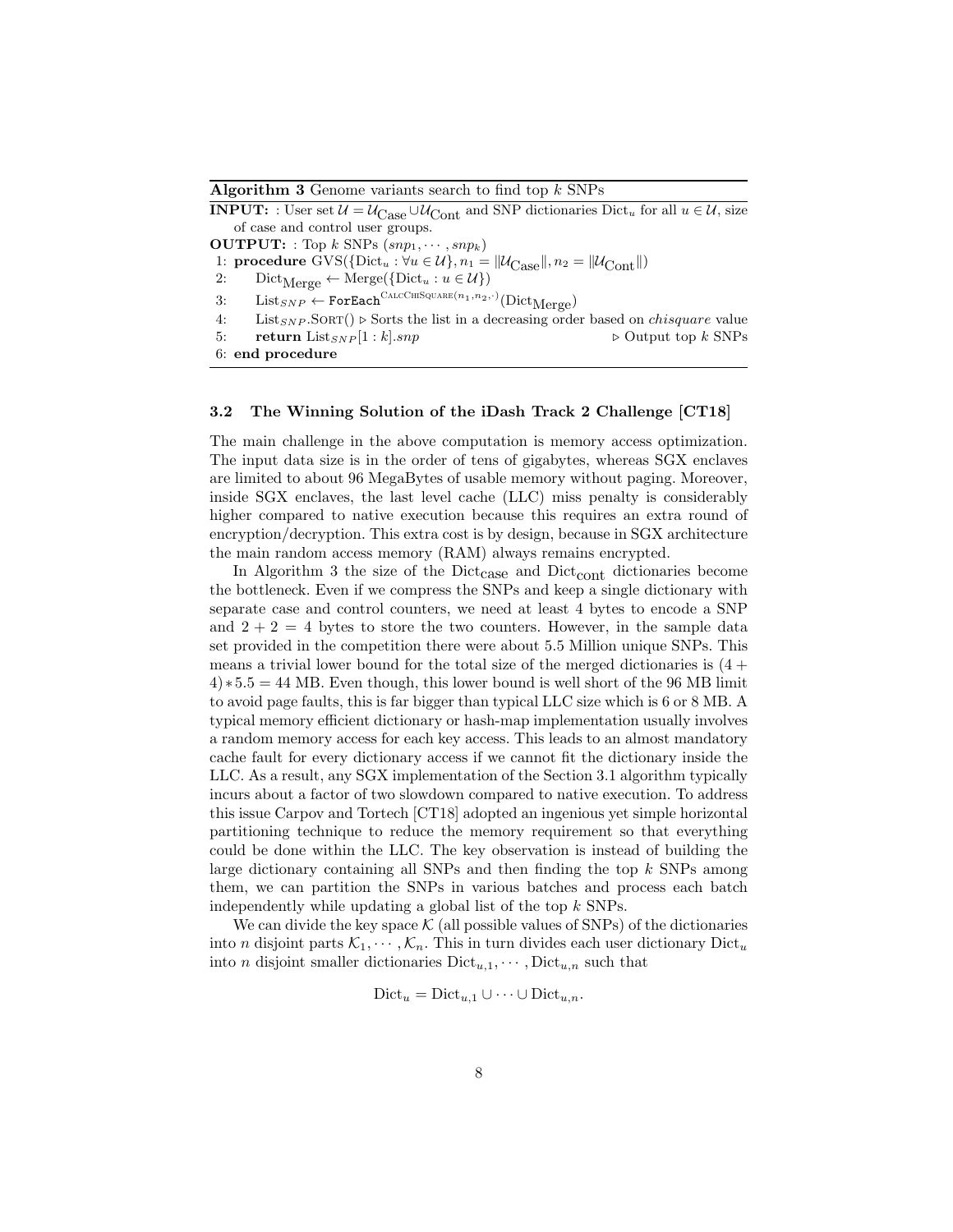#### Algorithm 3 Genome variants search to find top  $k$  SNPs

**INPUT:** : User set  $\mathcal{U} = \mathcal{U}_{\text{Case}} \cup \mathcal{U}_{\text{Cont}}$  and SNP dictionaries Dict<sub>u</sub> for all  $u \in \mathcal{U}$ , size of case and control user groups. **OUTPUT:** : Top k SNPs  $(snp_1, \dots, snp_k)$ 1: **procedure** GVS({Dict<sub>u</sub> :  $\forall u \in \mathcal{U}$ },  $n_1 = ||\mathcal{U}_{Case}||$ ,  $n_2 = ||\mathcal{U}_{Cont}||$ )<br>2: Dict<sub>Merge</sub>  $\leftarrow$  Merge({Dict<sub>u</sub> :  $u \in \mathcal{U}$ })  $Dict_{Merge} \leftarrow Merge({Dict}_u : u \in \mathcal{U})$  $3:$  List<sub>SNP</sub>  $\leftarrow$  ForEach<sup>CALCCHISQUARE(n<sub>1</sub>,n<sub>2</sub>,.)</sup>(Dict<sub>Merge</sub>) 4: List<sub>SNP</sub>.SORT()  $\triangleright$  Sorts the list in a decreasing order based on *chisquare* value

#### 5: return  $List_{SNP} [1 : k].snp$  .  $\triangleright$  Output top k SNPs

```
6: end procedure
```
### 3.2 The Winning Solution of the iDash Track 2 Challenge [CT18]

The main challenge in the above computation is memory access optimization. The input data size is in the order of tens of gigabytes, whereas SGX enclaves are limited to about 96 MegaBytes of usable memory without paging. Moreover, inside SGX enclaves, the last level cache (LLC) miss penalty is considerably higher compared to native execution because this requires an extra round of encryption/decryption. This extra cost is by design, because in SGX architecture the main random access memory (RAM) always remains encrypted.

In Algorithm 3 the size of the Dict $_{\text{case}}$  and Dict $_{\text{cont}}$  dictionaries become the bottleneck. Even if we compress the SNPs and keep a single dictionary with separate case and control counters, we need at least 4 bytes to encode a SNP and  $2 + 2 = 4$  bytes to store the two counters. However, in the sample data set provided in the competition there were about 5.5 Million unique SNPs. This means a trivial lower bound for the total size of the merged dictionaries is  $(4 +$  $4$ )  $*5.5 = 44$  MB. Even though, this lower bound is well short of the 96 MB limit to avoid page faults, this is far bigger than typical LLC size which is 6 or 8 MB. A typical memory efficient dictionary or hash-map implementation usually involves a random memory access for each key access. This leads to an almost mandatory cache fault for every dictionary access if we cannot fit the dictionary inside the LLC. As a result, any SGX implementation of the Section 3.1 algorithm typically incurs about a factor of two slowdown compared to native execution. To address this issue Carpov and Tortech [CT18] adopted an ingenious yet simple horizontal partitioning technique to reduce the memory requirement so that everything could be done within the LLC. The key observation is instead of building the large dictionary containing all SNPs and then finding the top k SNPs among them, we can partition the SNPs in various batches and process each batch independently while updating a global list of the top k SNPs.

We can divide the key space  $K$  (all possible values of SNPs) of the dictionaries into *n* disjoint parts  $\mathcal{K}_1, \cdots, \mathcal{K}_n$ . This in turn divides each user dictionary Dict<sub>u</sub> into *n* disjoint smaller dictionaries  $Dict_{u,1}, \cdots$ ,  $Dict_{u,n}$  such that

$$
Dict_u = Dict_{u,1} \cup \dots \cup Dict_{u,n}.
$$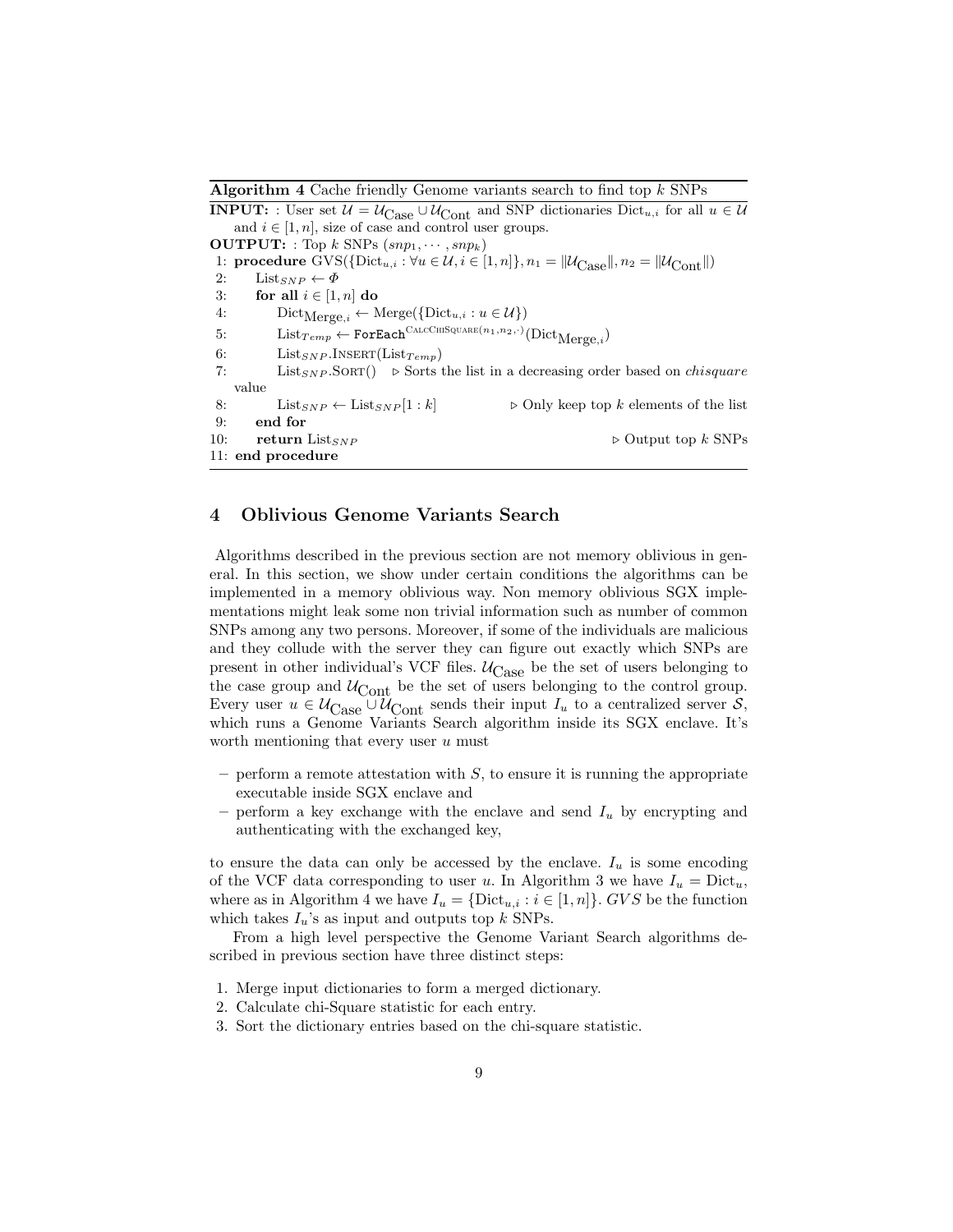Algorithm 4 Cache friendly Genome variants search to find top  $k$  SNPs

**INPUT:** : User set  $\mathcal{U} = \mathcal{U}_{\text{Case}} \cup \mathcal{U}_{\text{Cont}}$  and SNP dictionaries Dict<sub>u,i</sub> for all  $u \in \mathcal{U}$ and  $i \in [1, n]$ , size of case and control user groups. **OUTPUT:** : Top k SNPs  $(snp_1, \dots, snp_k)$ 1: **procedure** GVS({ $Dict_{u,i}$ :  $\forall u \in \mathcal{U}, i \in [1, n]$ },  $n_1 = ||\mathcal{U}_{Case}||, n_2 = ||\mathcal{U}_{Cont}||)$ <br>2: List<sub>SNP</sub>  $\leftarrow \Phi$  $List_{SNP} \leftarrow \Phi$ 3: for all  $i \in [1, n]$  do 4:  $\text{Dict}_{\text{Merge},i} \leftarrow \text{Merge}(\{\text{Dict}_{u,i} : u \in \mathcal{U}\})$ 5: List $_{Temp}$  ← ForEach<sup>CalcChiSquare(n<sub>1</sub>,n<sub>2</sub>,·)</sub>(Dict<sub>Merge,*i*</sub>)</sup> 6: List<sub>SNP</sub>.INSERT(List<sub>Temp</sub>) 7: List<sub>SNP</sub>.SORT()  $\triangleright$  Sorts the list in a decreasing order based on *chisquare* value 8: List<sub>SNP</sub>  $\leftarrow$  List<sub>SNP</sub> [1 : k]  $\triangleright$  Only keep top k elements of the list 9: end for 10: return List<sub>SNP</sub>  $\triangleright$  Output top k SNPs 11: end procedure

# 4 Oblivious Genome Variants Search

Algorithms described in the previous section are not memory oblivious in general. In this section, we show under certain conditions the algorithms can be implemented in a memory oblivious way. Non memory oblivious SGX implementations might leak some non trivial information such as number of common SNPs among any two persons. Moreover, if some of the individuals are malicious and they collude with the server they can figure out exactly which SNPs are present in other individual's VCF files.  $U_{\text{Case}}$  be the set of users belonging to the case group and  $U_{\text{Cont}}$  be the set of users belonging to the control group. Every user  $u \in \mathcal{U}_{\text{Case}} \cup \mathcal{U}_{\text{Cont}}$  sends their input  $I_u$  to a centralized server  $\mathcal{S},$ which runs a Genome Variants Search algorithm inside its SGX enclave. It's worth mentioning that every user  $u$  must

- perform a remote attestation with  $S$ , to ensure it is running the appropriate executable inside SGX enclave and
- perform a key exchange with the enclave and send  $I_u$  by encrypting and authenticating with the exchanged key,

to ensure the data can only be accessed by the enclave.  $I_u$  is some encoding of the VCF data corresponding to user u. In Algorithm 3 we have  $I_u = \text{Dict}_u$ , where as in Algorithm 4 we have  $I_u = \{\text{Dict}_{u,i} : i \in [1,n]\}\text{. } GVS$  be the function which takes  $I_u$ 's as input and outputs top k SNPs.

From a high level perspective the Genome Variant Search algorithms described in previous section have three distinct steps:

- 1. Merge input dictionaries to form a merged dictionary.
- 2. Calculate chi-Square statistic for each entry.
- 3. Sort the dictionary entries based on the chi-square statistic.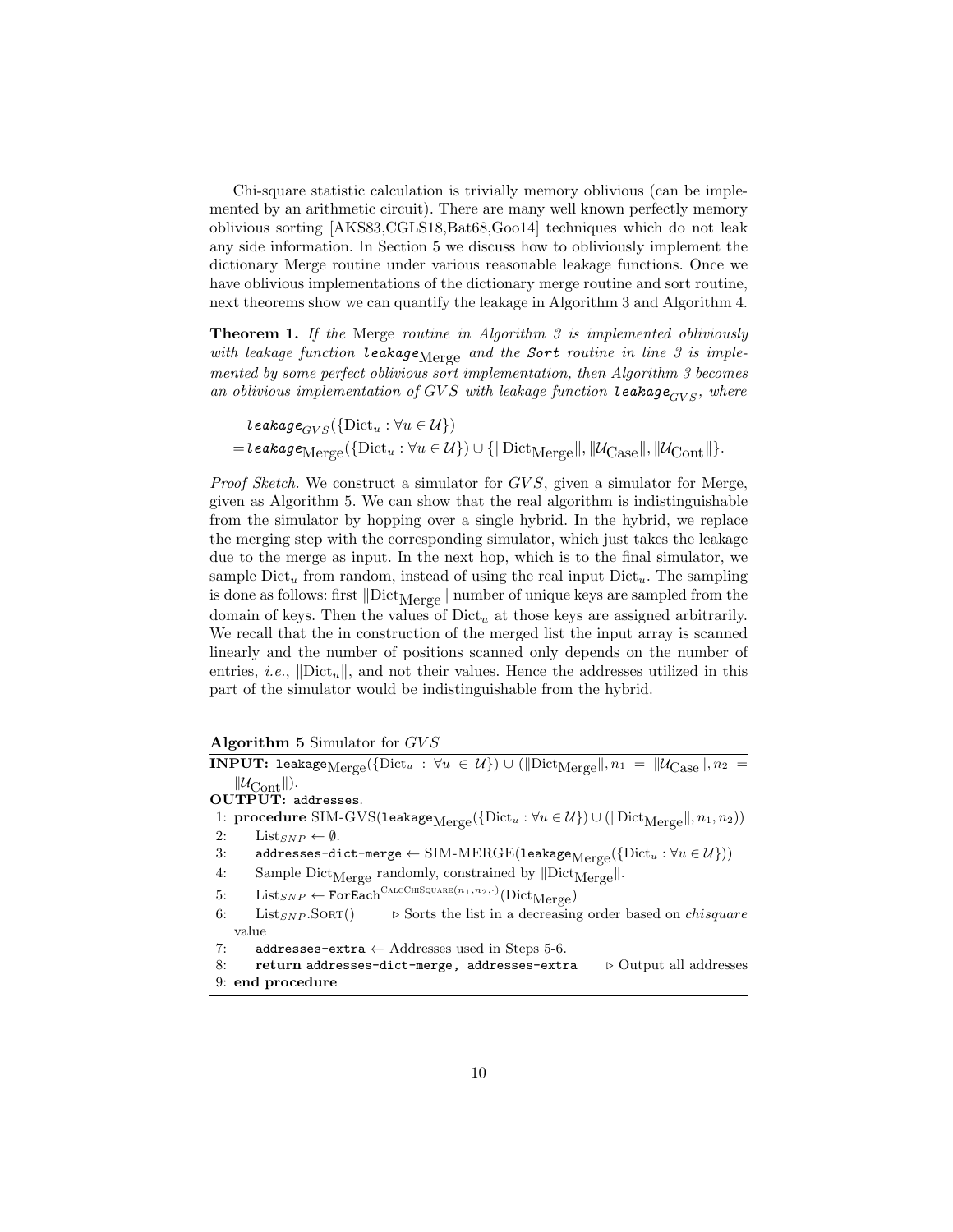Chi-square statistic calculation is trivially memory oblivious (can be implemented by an arithmetic circuit). There are many well known perfectly memory oblivious sorting [AKS83,CGLS18,Bat68,Goo14] techniques which do not leak any side information. In Section 5 we discuss how to obliviously implement the dictionary Merge routine under various reasonable leakage functions. Once we have oblivious implementations of the dictionary merge routine and sort routine, next theorems show we can quantify the leakage in Algorithm 3 and Algorithm 4.

Theorem 1. If the Merge routine in Algorithm 3 is implemented obliviously with leakage function  $\textit{leakage}_{\text{Merge}}$  and the Sort routine in line 3 is implemented by some perfect oblivious sort implementation, then Algorithm 3 becomes an oblivious implementation of GVS with leakage function leakage<sub>GVS</sub>, where

leakage $_{CVS}(\{\text{Dict}_u : \forall u \in \mathcal{U}\})$  $=$ Leakage $\text{Merge}(\{\text{Dict}_u : \forall u \in \mathcal{U}\}) \cup \{\|\text{Dict}_{\text{Merge}}\|, \|\mathcal{U}_{\text{Case}}\|, \|\mathcal{U}_{\text{Cont}}\|\}.$ 

Proof Sketch. We construct a simulator for GVS, given a simulator for Merge, given as Algorithm 5. We can show that the real algorithm is indistinguishable from the simulator by hopping over a single hybrid. In the hybrid, we replace the merging step with the corresponding simulator, which just takes the leakage due to the merge as input. In the next hop, which is to the final simulator, we sample  $Dict_u$  from random, instead of using the real input  $Dict_u$ . The sampling is done as follows: first  $\|\text{Dict}_{Merge}\|$  number of unique keys are sampled from the domain of keys. Then the values of  $Dict_u$  at those keys are assigned arbitrarily. We recall that the in construction of the merged list the input array is scanned linearly and the number of positions scanned only depends on the number of entries, *i.e.*,  $\left\| \text{Dict}_{u} \right\|$ , and not their values. Hence the addresses utilized in this part of the simulator would be indistinguishable from the hybrid.

| Algorithm 5 Simulator for $GVS$ |  |  |  |  |  |
|---------------------------------|--|--|--|--|--|
|---------------------------------|--|--|--|--|--|

 $\bf{INPUT:}\; \sf{leakage}_{Merge}(\{Dict_u\;:\;\forall u\;\in\;\mathcal{U}\}) \cup (\|Dict_{Merge}\|,n_1\;=\;\|\mathcal{U}_{Case}\|,n_2\;=\;n_1\;:\;\mathcal{U}_{Case}\;|\;\mathcal{U}_{Case}\;|\;\mathcal{U}_{Case}\;|\;\mathcal{U}_{Case}\;|\;\mathcal{U}_{Case}\;|\;\mathcal{U}_{Case}\;|\;\mathcal{U}_{Case}\;|\;\mathcal{U}_{Case}\;|\;\mathcal{U}_{Case}\;|\;\mathcal{U}_{Case}\;|\;\mathcal{U}_{Case}\;|\;\mathcal{U}_{Case}\;|\;\mathcal{U}_{Case}\;|\;\mathcal{U}_{Case}\;|\$  $\|\mathcal{U}_{\text{Cont}}\|$ . OUTPUT: addresses. 1: procedure SIM-GVS(leakage $M_{\text{degree}}(\{\text{Dict}_u : \forall u \in \mathcal{U}\}) \cup (\|\text{Dict}_{\text{Merge}}\|, n_1, n_2))$ 2: List<sub>SNP</sub>  $\leftarrow \emptyset$ . 3: addresses-dict-merge ← SIM-MERGE(leakage<sub>Merge</sub>({Dict<sub>u</sub> :  $\forall u \in \mathcal{U}$ }))<br>4: Sample Dict<sub>Merge</sub> randomly, constrained by  $|\text{Dict}_{\text{Merge}}|$ . Sample Dict $_{\text{Merge}}$  randomly, constrained by  $\Vert \text{Dict}_{\text{Merge}} \Vert$ .  $5:$  List<sub>SNP</sub>  $\leftarrow$  ForEach<sup>CALCCHISQUARE(n<sub>1</sub>,n<sub>2</sub>,.)</sup>(Dict<sub>Merge</sub>) 6: List<sub>SNP</sub>.SORT()  $\triangleright$  Sorts the list in a decreasing order based on *chisquare* value 7: addresses-extra  $\leftarrow$  Addresses used in Steps 5-6. 8: return addresses-dict-merge, addresses-extra  $\rightarrow$  Output all addresses 9: end procedure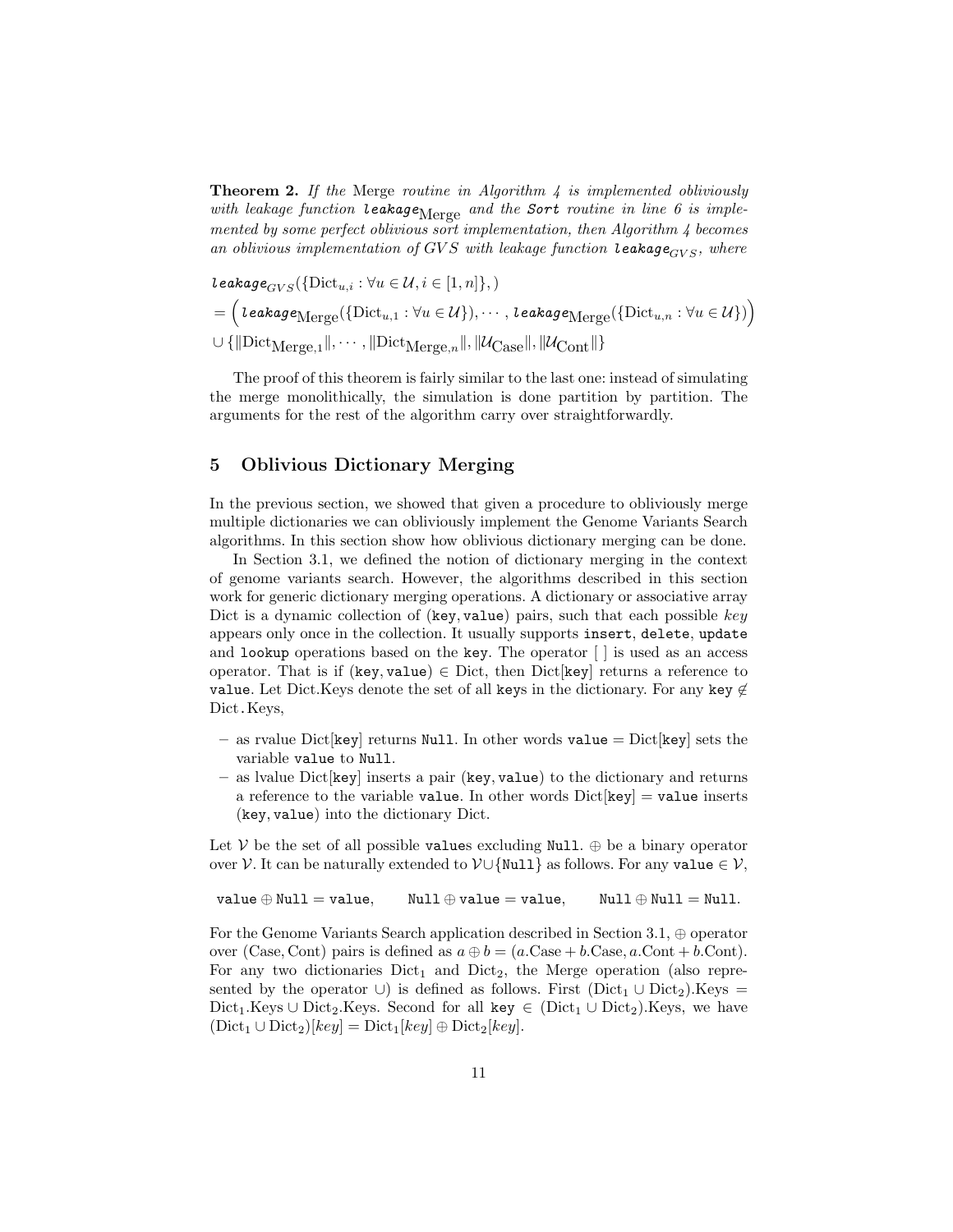**Theorem 2.** If the Merge routine in Algorithm 4 is implemented obliviously with leakage function leakage $_{\text{Merge}}$  and the Sort routine in line 6 is implemented by some perfect oblivious sort implementation, then Algorithm  $\downarrow$  becomes an oblivious implementation of GVS with leakage function leakage $_{GVS}$ , where

leakage $_{GVS}(\{\text{Dict}_{u,i} : \forall u \in \mathcal{U}, i \in [1,n]\},\)$  $=\Big(\textit{leakage}_{\text{Merge}}(\{\text{Dict}_{u,1} : \forall u\in\mathcal{U}\}),\cdots,\textit{leakage}_{\text{Merge}}(\{\text{Dict}_{u,n} : \forall u\in\mathcal{U}\})\Big)$  $\cup\left\{\|\text{Dict}_{\text{Merge},1}\|,\cdots,\|\text{Dict}_{\text{Merge},n}\|,\|\mathcal{U}_{\text{Case}}\|,\|\mathcal{U}_{\text{Cont}}\|\right\}$ 

The proof of this theorem is fairly similar to the last one: instead of simulating the merge monolithically, the simulation is done partition by partition. The arguments for the rest of the algorithm carry over straightforwardly.

## 5 Oblivious Dictionary Merging

In the previous section, we showed that given a procedure to obliviously merge multiple dictionaries we can obliviously implement the Genome Variants Search algorithms. In this section show how oblivious dictionary merging can be done.

In Section 3.1, we defined the notion of dictionary merging in the context of genome variants search. However, the algorithms described in this section work for generic dictionary merging operations. A dictionary or associative array Dict is a dynamic collection of (key, value) pairs, such that each possible  $key$ appears only once in the collection. It usually supports insert, delete, update and lookup operations based on the key. The operator [ ] is used as an access operator. That is if (key, value)  $\in$  Dict, then Dict[key] returns a reference to value. Let Dict.Keys denote the set of all keys in the dictionary. For any key  $\notin$ Dict.Keys,

- as rvalue Dict [key] returns Null. In other words value =  $Dict$  [key] sets the variable value to Null.
- as lvalue Dict[key] inserts a pair (key, value) to the dictionary and returns a reference to the variable value. In other words  $Dict[key] = value$  inserts (key, value) into the dictionary Dict.

Let V be the set of all possible values excluding Null.  $\oplus$  be a binary operator over V. It can be naturally extended to  $V \cup \{Null\}$  as follows. For any value  $\in V$ ,

```
value \oplus Null = value, Null \oplus value = value, Null \oplus Null = Null.
```
For the Genome Variants Search application described in Section 3.1, ⊕ operator over (Case, Cont) pairs is defined as  $a \oplus b = (a$ .Case + b.Case, a.Cont + b.Cont). For any two dictionaries  $Dict_1$  and  $Dict_2$ , the Merge operation (also represented by the operator ∪) is defined as follows. First (Dict<sub>1</sub> ∪ Dict<sub>2</sub>).Keys = Dict<sub>1</sub>.Keys ∪ Dict<sub>2</sub>.Keys. Second for all key  $\in$  (Dict<sub>1</sub> ∪ Dict<sub>2</sub>).Keys, we have  $(\text{Dict}_1 \cup \text{Dict}_2)[key] = \text{Dict}_1[key] \oplus \text{Dict}_2[key].$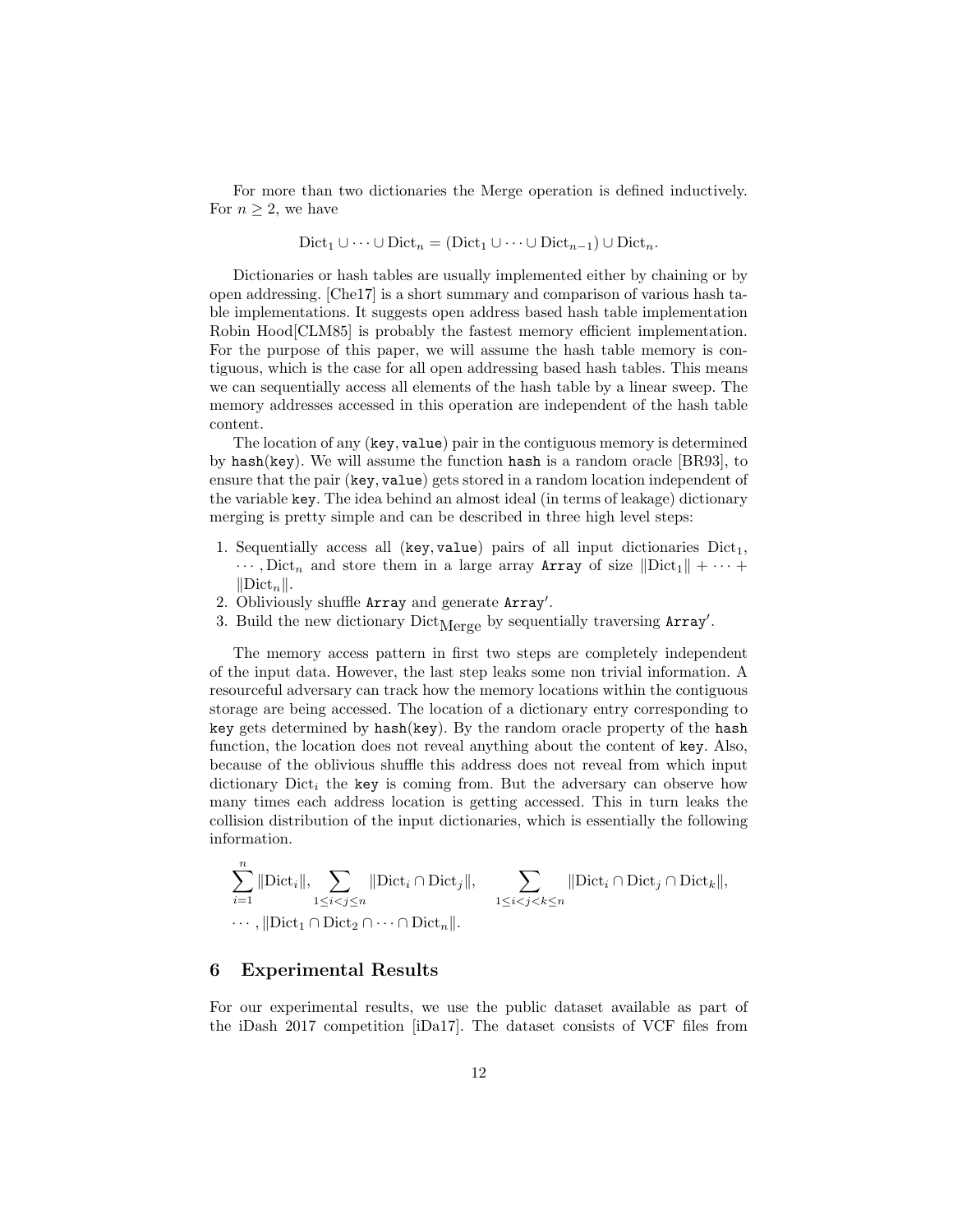For more than two dictionaries the Merge operation is defined inductively. For  $n \geq 2$ , we have

$$
Dict_1 \cup \cdots \cup Dict_n = (Dict_1 \cup \cdots \cup Dict_{n-1}) \cup Dict_n.
$$

Dictionaries or hash tables are usually implemented either by chaining or by open addressing. [Che17] is a short summary and comparison of various hash table implementations. It suggests open address based hash table implementation Robin Hood[CLM85] is probably the fastest memory efficient implementation. For the purpose of this paper, we will assume the hash table memory is contiguous, which is the case for all open addressing based hash tables. This means we can sequentially access all elements of the hash table by a linear sweep. The memory addresses accessed in this operation are independent of the hash table content.

The location of any (key, value) pair in the contiguous memory is determined by hash(key). We will assume the function hash is a random oracle [BR93], to ensure that the pair (key, value) gets stored in a random location independent of the variable key. The idea behind an almost ideal (in terms of leakage) dictionary merging is pretty simple and can be described in three high level steps:

- 1. Sequentially access all (key, value) pairs of all input dictionaries  $Dict_1$ ,  $\cdots$ , Dict<sub>n</sub> and store them in a large array Array of size  $\|\text{Dict}_1\| + \cdots$  $\|\text{Dict}_n\|.$
- 2. Obliviously shuffle Array and generate Array'.
- 3. Build the new dictionary  $Dict_{Merge}$  by sequentially traversing  $Array'$ .

The memory access pattern in first two steps are completely independent of the input data. However, the last step leaks some non trivial information. A resourceful adversary can track how the memory locations within the contiguous storage are being accessed. The location of a dictionary entry corresponding to key gets determined by hash(key). By the random oracle property of the hash function, the location does not reveal anything about the content of key. Also, because of the oblivious shuffle this address does not reveal from which input dictionary  $Dict_i$  the key is coming from. But the adversary can observe how many times each address location is getting accessed. This in turn leaks the collision distribution of the input dictionaries, which is essentially the following information.

$$
\sum_{i=1}^{n} \|\text{Dict}_{i}\|, \sum_{1 \leq i < j \leq n} \|\text{Dict}_{i} \cap \text{Dict}_{j}\|, \sum_{1 \leq i < j < k \leq n} \|\text{Dict}_{i} \cap \text{Dict}_{j} \cap \text{Dict}_{k}\|, \dots, \|\text{Dict}_{1} \cap \text{Dict}_{2} \cap \dots \cap \text{Dict}_{n}\|.
$$

### 6 Experimental Results

For our experimental results, we use the public dataset available as part of the iDash 2017 competition [iDa17]. The dataset consists of VCF files from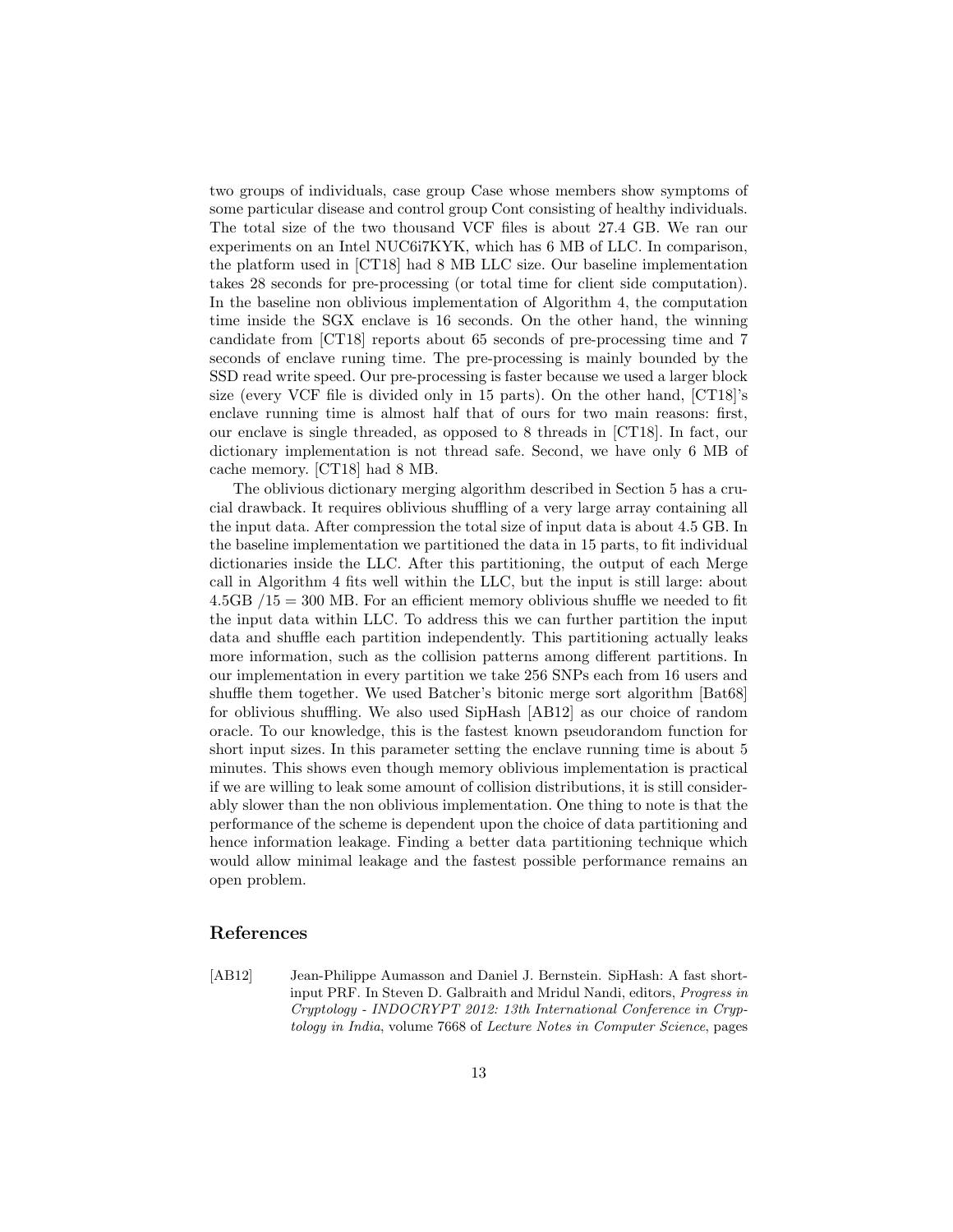two groups of individuals, case group Case whose members show symptoms of some particular disease and control group Cont consisting of healthy individuals. The total size of the two thousand VCF files is about 27.4 GB. We ran our experiments on an Intel NUC6i7KYK, which has 6 MB of LLC. In comparison, the platform used in [CT18] had 8 MB LLC size. Our baseline implementation takes 28 seconds for pre-processing (or total time for client side computation). In the baseline non oblivious implementation of Algorithm 4, the computation time inside the SGX enclave is 16 seconds. On the other hand, the winning candidate from [CT18] reports about 65 seconds of pre-processing time and 7 seconds of enclave runing time. The pre-processing is mainly bounded by the SSD read write speed. Our pre-processing is faster because we used a larger block size (every VCF file is divided only in 15 parts). On the other hand, [CT18]'s enclave running time is almost half that of ours for two main reasons: first, our enclave is single threaded, as opposed to 8 threads in [CT18]. In fact, our dictionary implementation is not thread safe. Second, we have only 6 MB of cache memory. [CT18] had 8 MB.

The oblivious dictionary merging algorithm described in Section 5 has a crucial drawback. It requires oblivious shuffling of a very large array containing all the input data. After compression the total size of input data is about 4.5 GB. In the baseline implementation we partitioned the data in 15 parts, to fit individual dictionaries inside the LLC. After this partitioning, the output of each Merge call in Algorithm 4 fits well within the LLC, but the input is still large: about  $4.5GB / 15 = 300 MB$ . For an efficient memory oblivious shuffle we needed to fit the input data within LLC. To address this we can further partition the input data and shuffle each partition independently. This partitioning actually leaks more information, such as the collision patterns among different partitions. In our implementation in every partition we take 256 SNPs each from 16 users and shuffle them together. We used Batcher's bitonic merge sort algorithm [Bat68] for oblivious shuffling. We also used SipHash [AB12] as our choice of random oracle. To our knowledge, this is the fastest known pseudorandom function for short input sizes. In this parameter setting the enclave running time is about 5 minutes. This shows even though memory oblivious implementation is practical if we are willing to leak some amount of collision distributions, it is still considerably slower than the non oblivious implementation. One thing to note is that the performance of the scheme is dependent upon the choice of data partitioning and hence information leakage. Finding a better data partitioning technique which would allow minimal leakage and the fastest possible performance remains an open problem.

### References

[AB12] Jean-Philippe Aumasson and Daniel J. Bernstein. SipHash: A fast shortinput PRF. In Steven D. Galbraith and Mridul Nandi, editors, Progress in Cryptology - INDOCRYPT 2012: 13th International Conference in Cryptology in India, volume 7668 of Lecture Notes in Computer Science, pages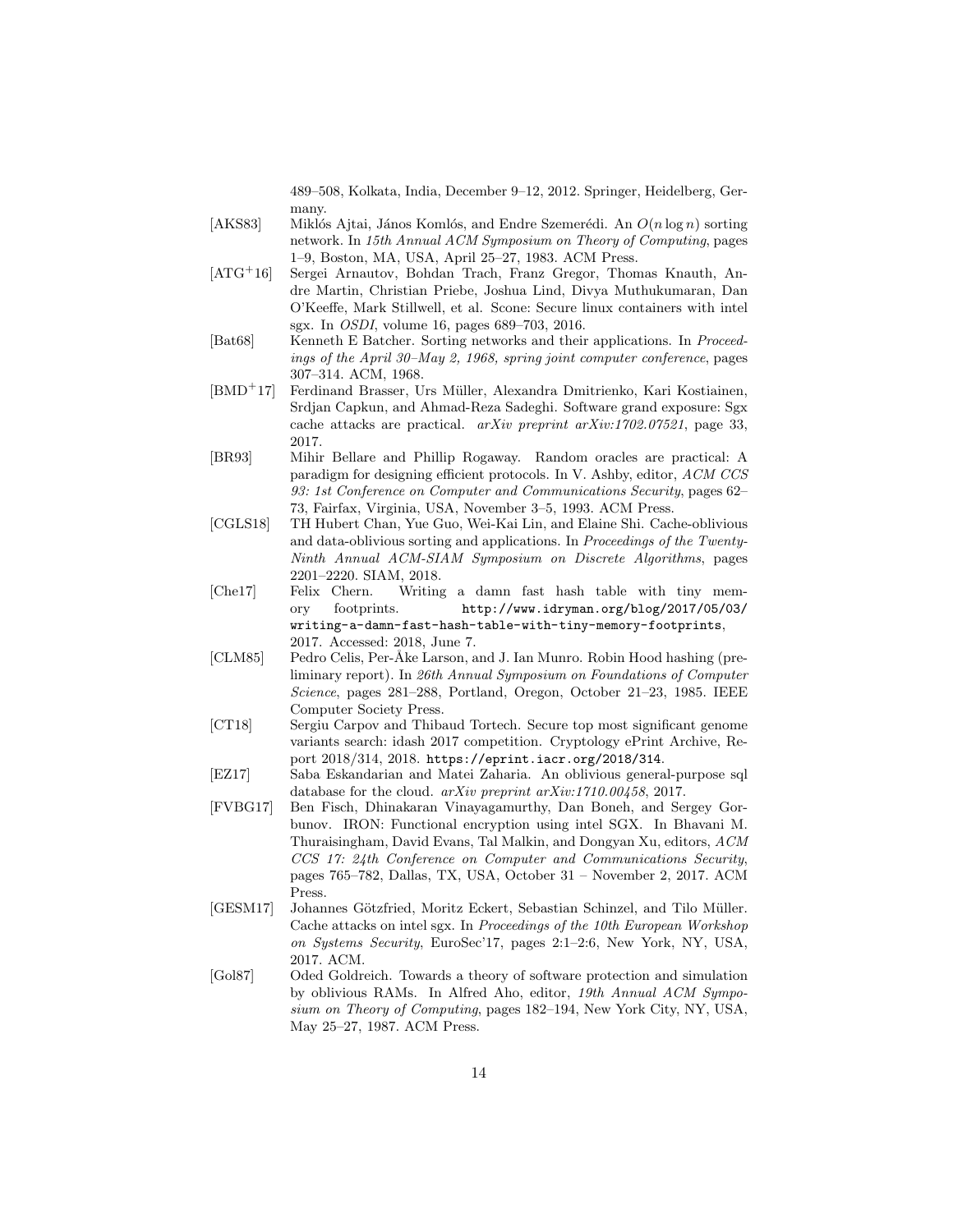489–508, Kolkata, India, December 9–12, 2012. Springer, Heidelberg, Germany.

- [AKS83] Miklós Ajtai, János Komlós, and Endre Szemerédi. An  $O(n \log n)$  sorting network. In 15th Annual ACM Symposium on Theory of Computing, pages 1–9, Boston, MA, USA, April 25–27, 1983. ACM Press.
- [ATG<sup>+</sup>16] Sergei Arnautov, Bohdan Trach, Franz Gregor, Thomas Knauth, Andre Martin, Christian Priebe, Joshua Lind, Divya Muthukumaran, Dan O'Keeffe, Mark Stillwell, et al. Scone: Secure linux containers with intel sgx. In OSDI, volume 16, pages 689–703, 2016.
- [Bat68] Kenneth E Batcher. Sorting networks and their applications. In Proceedings of the April 30–May 2, 1968, spring joint computer conference, pages 307–314. ACM, 1968.
- [BMD<sup>+</sup>17] Ferdinand Brasser, Urs M¨uller, Alexandra Dmitrienko, Kari Kostiainen, Srdjan Capkun, and Ahmad-Reza Sadeghi. Software grand exposure: Sgx cache attacks are practical. arXiv preprint arXiv:1702.07521, page 33, 2017.
- [BR93] Mihir Bellare and Phillip Rogaway. Random oracles are practical: A paradigm for designing efficient protocols. In V. Ashby, editor, ACM CCS 93: 1st Conference on Computer and Communications Security, pages 62– 73, Fairfax, Virginia, USA, November 3–5, 1993. ACM Press.
- [CGLS18] TH Hubert Chan, Yue Guo, Wei-Kai Lin, and Elaine Shi. Cache-oblivious and data-oblivious sorting and applications. In Proceedings of the Twenty-Ninth Annual ACM-SIAM Symposium on Discrete Algorithms, pages 2201–2220. SIAM, 2018.
- [Che17] Felix Chern. Writing a damn fast hash table with tiny memory footprints. http://www.idryman.org/blog/2017/05/03/ writing-a-damn-fast-hash-table-with-tiny-memory-footprints, 2017. Accessed: 2018, June 7.
- [CLM85] Pedro Celis, Per-Åke Larson, and J. Ian Munro. Robin Hood hashing (preliminary report). In 26th Annual Symposium on Foundations of Computer Science, pages 281–288, Portland, Oregon, October 21–23, 1985. IEEE Computer Society Press.
- [CT18] Sergiu Carpov and Thibaud Tortech. Secure top most significant genome variants search: idash 2017 competition. Cryptology ePrint Archive, Report 2018/314, 2018. https://eprint.iacr.org/2018/314.
- [EZ17] Saba Eskandarian and Matei Zaharia. An oblivious general-purpose sql database for the cloud. arXiv preprint arXiv:1710.00458, 2017.
- [FVBG17] Ben Fisch, Dhinakaran Vinayagamurthy, Dan Boneh, and Sergey Gorbunov. IRON: Functional encryption using intel SGX. In Bhavani M. Thuraisingham, David Evans, Tal Malkin, and Dongyan Xu, editors, ACM CCS 17: 24th Conference on Computer and Communications Security, pages 765–782, Dallas, TX, USA, October 31 – November 2, 2017. ACM Press.
- [GESM17] Johannes Götzfried, Moritz Eckert, Sebastian Schinzel, and Tilo Müller. Cache attacks on intel sgx. In Proceedings of the 10th European Workshop on Systems Security, EuroSec'17, pages 2:1–2:6, New York, NY, USA, 2017. ACM.
- [Gol87] Oded Goldreich. Towards a theory of software protection and simulation by oblivious RAMs. In Alfred Aho, editor, 19th Annual ACM Symposium on Theory of Computing, pages 182–194, New York City, NY, USA, May 25–27, 1987. ACM Press.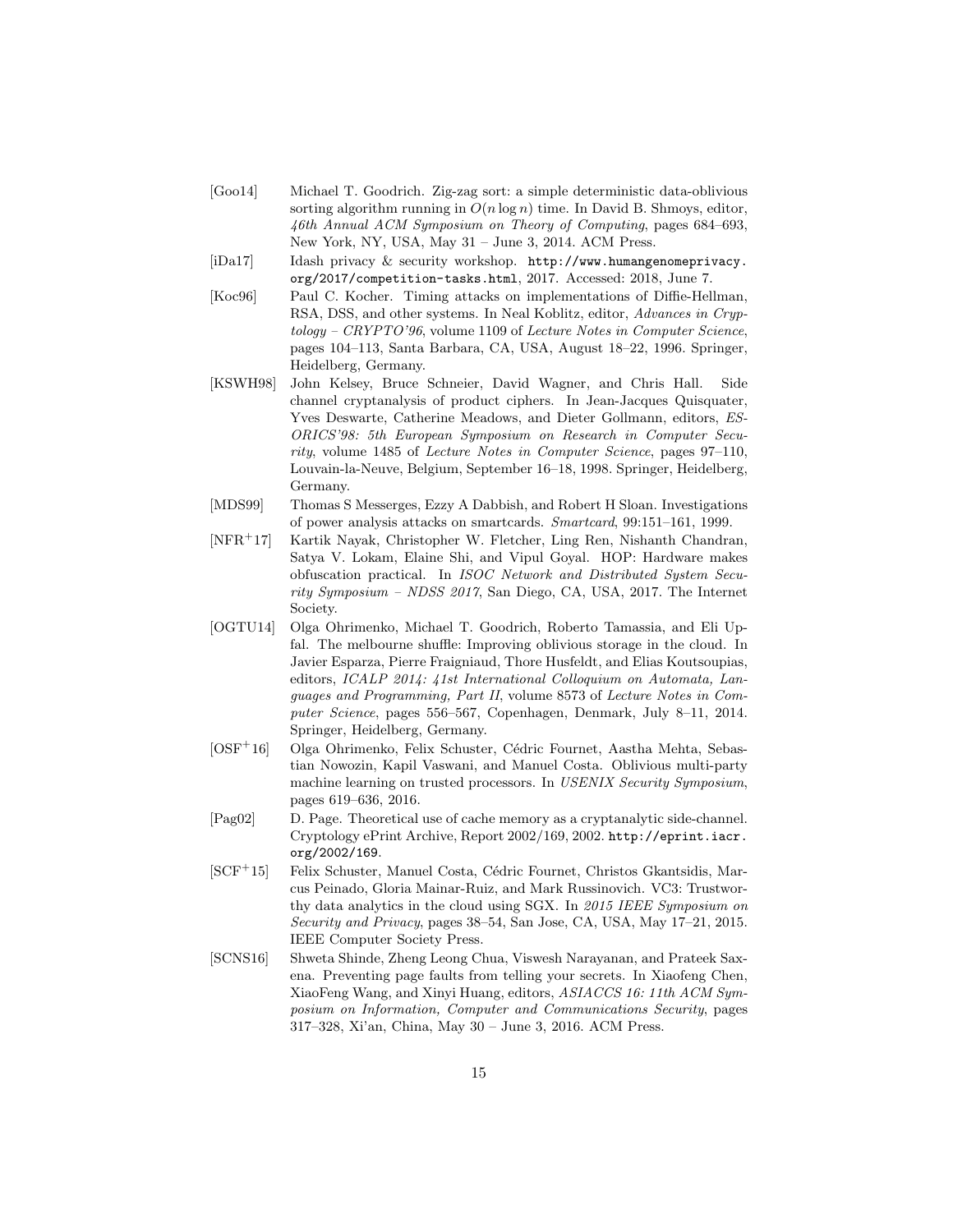- [Goo14] Michael T. Goodrich. Zig-zag sort: a simple deterministic data-oblivious sorting algorithm running in  $O(n \log n)$  time. In David B. Shmoys, editor, 46th Annual ACM Symposium on Theory of Computing, pages 684–693, New York, NY, USA, May 31 – June 3, 2014. ACM Press.
- [iDa17] Idash privacy & security workshop. http://www.humangenomeprivacy. org/2017/competition-tasks.html, 2017. Accessed: 2018, June 7.
- [Koc96] Paul C. Kocher. Timing attacks on implementations of Diffie-Hellman, RSA, DSS, and other systems. In Neal Koblitz, editor, Advances in Cryptology – CRYPTO'96, volume 1109 of Lecture Notes in Computer Science, pages 104–113, Santa Barbara, CA, USA, August 18–22, 1996. Springer, Heidelberg, Germany.
- [KSWH98] John Kelsey, Bruce Schneier, David Wagner, and Chris Hall. Side channel cryptanalysis of product ciphers. In Jean-Jacques Quisquater, Yves Deswarte, Catherine Meadows, and Dieter Gollmann, editors, ES-ORICS'98: 5th European Symposium on Research in Computer Security, volume 1485 of Lecture Notes in Computer Science, pages 97–110, Louvain-la-Neuve, Belgium, September 16–18, 1998. Springer, Heidelberg, Germany.
- [MDS99] Thomas S Messerges, Ezzy A Dabbish, and Robert H Sloan. Investigations of power analysis attacks on smartcards. Smartcard, 99:151–161, 1999.
- [NFR<sup>+</sup>17] Kartik Nayak, Christopher W. Fletcher, Ling Ren, Nishanth Chandran, Satya V. Lokam, Elaine Shi, and Vipul Goyal. HOP: Hardware makes obfuscation practical. In ISOC Network and Distributed System Security Symposium – NDSS 2017, San Diego, CA, USA, 2017. The Internet Society.
- [OGTU14] Olga Ohrimenko, Michael T. Goodrich, Roberto Tamassia, and Eli Upfal. The melbourne shuffle: Improving oblivious storage in the cloud. In Javier Esparza, Pierre Fraigniaud, Thore Husfeldt, and Elias Koutsoupias, editors, ICALP 2014: 41st International Colloquium on Automata, Languages and Programming, Part II, volume 8573 of Lecture Notes in Computer Science, pages 556–567, Copenhagen, Denmark, July 8–11, 2014. Springer, Heidelberg, Germany.
- $\text{[OSF}^+16]$  Olga Ohrimenko, Felix Schuster, Cédric Fournet, Aastha Mehta, Sebastian Nowozin, Kapil Vaswani, and Manuel Costa. Oblivious multi-party machine learning on trusted processors. In USENIX Security Symposium, pages 619–636, 2016.
- [Pag02] D. Page. Theoretical use of cache memory as a cryptanalytic side-channel. Cryptology ePrint Archive, Report 2002/169, 2002. http://eprint.iacr. org/2002/169.
- [SCF<sup>+</sup>15] Felix Schuster, Manuel Costa, Cédric Fournet, Christos Gkantsidis, Marcus Peinado, Gloria Mainar-Ruiz, and Mark Russinovich. VC3: Trustworthy data analytics in the cloud using SGX. In 2015 IEEE Symposium on Security and Privacy, pages 38–54, San Jose, CA, USA, May 17–21, 2015. IEEE Computer Society Press.
- [SCNS16] Shweta Shinde, Zheng Leong Chua, Viswesh Narayanan, and Prateek Saxena. Preventing page faults from telling your secrets. In Xiaofeng Chen, XiaoFeng Wang, and Xinyi Huang, editors, ASIACCS 16: 11th ACM Symposium on Information, Computer and Communications Security, pages 317–328, Xi'an, China, May 30 – June 3, 2016. ACM Press.